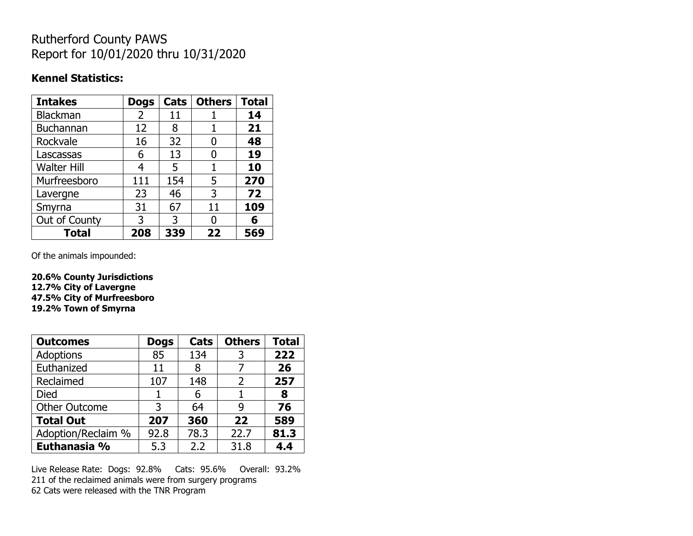## Rutherford County PAWS Report for 10/01/2020 thru 10/31/2020

#### **Kennel Statistics:**

| <b>Intakes</b>     | <b>Dogs</b> | Cats | <b>Others</b> | <b>Total</b> |
|--------------------|-------------|------|---------------|--------------|
| Blackman           | 2           | 11   |               | 14           |
| Buchannan          | 12          | 8    |               | 21           |
| Rockvale           | 16          | 32   | 0             | 48           |
| Lascassas          | 6           | 13   | O             | 19           |
| <b>Walter Hill</b> | 4           | 5    | 1             | 10           |
| Murfreesboro       | 111         | 154  | 5             | 270          |
| Lavergne           | 23          | 46   | 3             | 72           |
| Smyrna             | 31          | 67   | 11            | 109          |
| Out of County      | 3           | 3    | O             | 6            |
| <b>Total</b>       | 208         | 339  | 22            | 569          |

Of the animals impounded:

**20.6% County Jurisdictions 12.7% City of Lavergne 47.5% City of Murfreesboro 19.2% Town of Smyrna**

| <b>Outcomes</b>      | <b>Dogs</b> | Cats | <b>Others</b> | <b>Total</b> |
|----------------------|-------------|------|---------------|--------------|
| Adoptions            | 85          | 134  | 3             | 222          |
| Euthanized           | 11          | 8    |               | 26           |
| Reclaimed            | 107         | 148  | 2             | 257          |
| Died                 |             | 6    |               | 8            |
| <b>Other Outcome</b> | 3           | 64   | 9             | 76           |
| <b>Total Out</b>     | 207         | 360  | 22            | 589          |
| Adoption/Reclaim %   | 92.8        | 78.3 | 22.7          | 81.3         |
| Euthanasia %         | 5.3         | 2.2  | 31.8          | 4.4          |

Live Release Rate: Dogs: 92.8% Cats: 95.6% Overall: 93.2% 211 of the reclaimed animals were from surgery programs 62 Cats were released with the TNR Program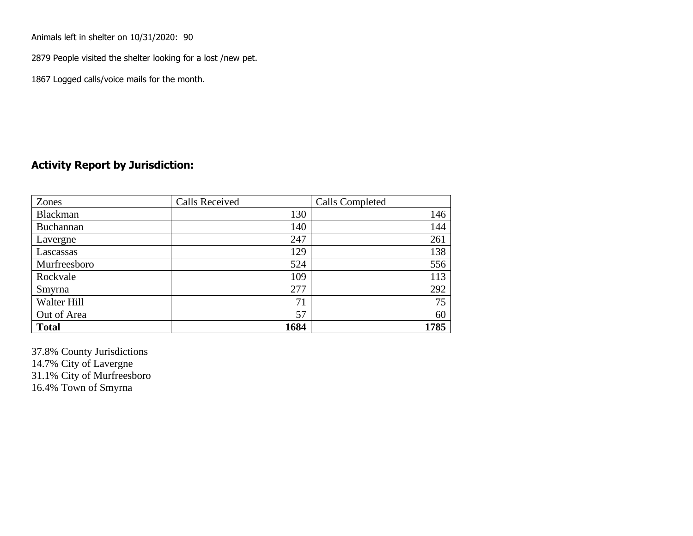Animals left in shelter on 10/31/2020: 90

2879 People visited the shelter looking for a lost /new pet.

1867 Logged calls/voice mails for the month.

#### **Activity Report by Jurisdiction:**

| Zones        | <b>Calls Received</b> | Calls Completed |
|--------------|-----------------------|-----------------|
| Blackman     | 130                   | 146             |
| Buchannan    | 140                   | 144             |
| Lavergne     | 247                   | 261             |
| Lascassas    | 129                   | 138             |
| Murfreesboro | 524                   | 556             |
| Rockvale     | 109                   | 113             |
| Smyrna       | 277                   | 292             |
| Walter Hill  | 71                    | 75              |
| Out of Area  | 57                    | 60              |
| <b>Total</b> | 1684                  | 1785            |

37.8% County Jurisdictions 14.7% City of Lavergne 31.1% City of Murfreesboro 16.4% Town of Smyrna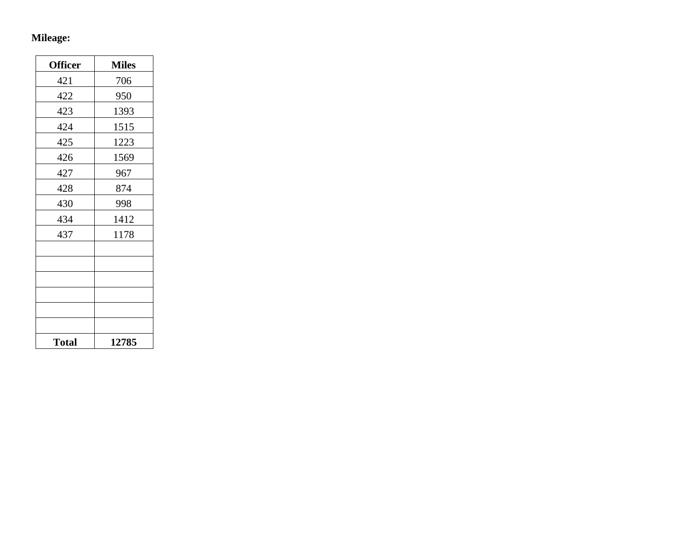# **Mileage:**

| <b>Officer</b> | <b>Miles</b> |
|----------------|--------------|
| 421            | 706          |
| 422            | 950          |
| 423            | 1393         |
| 424            | 1515         |
| 425            | 1223         |
| 426            | 1569         |
| 427            | 967          |
| 428            | 874          |
| 430            | 998          |
| 434            | 1412         |
| 437            | 1178         |
|                |              |
|                |              |
|                |              |
|                |              |
|                |              |
|                |              |
| <b>Total</b>   | 12785        |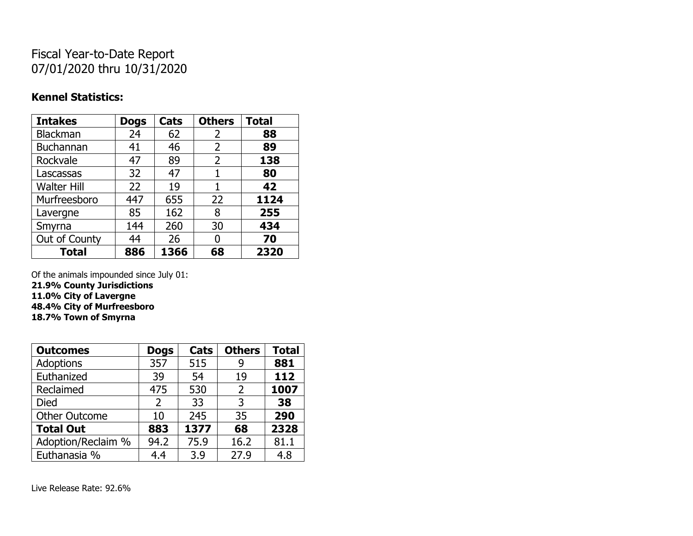## Fiscal Year-to-Date Report 07/01/2020 thru 10/31/2020

### **Kennel Statistics:**

| <b>Intakes</b>     | <b>Dogs</b> | Cats | <b>Others</b> | <b>Total</b> |
|--------------------|-------------|------|---------------|--------------|
| Blackman           | 24          | 62   | 2             | 88           |
| <b>Buchannan</b>   | 41          | 46   | 2             | 89           |
| Rockvale           | 47          | 89   | 2             | 138          |
| Lascassas          | 32          | 47   | 1             | 80           |
| <b>Walter Hill</b> | 22          | 19   | 1             | 42           |
| Murfreesboro       | 447         | 655  | 22            | 1124         |
| Lavergne           | 85          | 162  | 8             | 255          |
| Smyrna             | 144         | 260  | 30            | 434          |
| Out of County      | 44          | 26   | 0             | 70           |
| <b>Total</b>       | 886         | 1366 | 68            | 2320         |

Of the animals impounded since July 01:

**21.9% County Jurisdictions**

**11.0% City of Lavergne**

**48.4% City of Murfreesboro 18.7% Town of Smyrna**

| <b>Outcomes</b>      | <b>Dogs</b> | Cats | <b>Others</b>  | <b>Total</b> |
|----------------------|-------------|------|----------------|--------------|
| <b>Adoptions</b>     | 357         | 515  | 9              | 881          |
| Euthanized           | 39          | 54   | 19             | 112          |
| Reclaimed            | 475         | 530  | $\overline{2}$ | 1007         |
| Died                 | 2           | 33   | 3              | 38           |
| <b>Other Outcome</b> | 10          | 245  | 35             | 290          |
| <b>Total Out</b>     | 883         | 1377 | 68             | 2328         |
| Adoption/Reclaim %   | 94.2        | 75.9 | 16.2           | 81.1         |
| Euthanasia %         | 4.4         | 3.9  | 27.9           | 4.8          |

Live Release Rate: 92.6%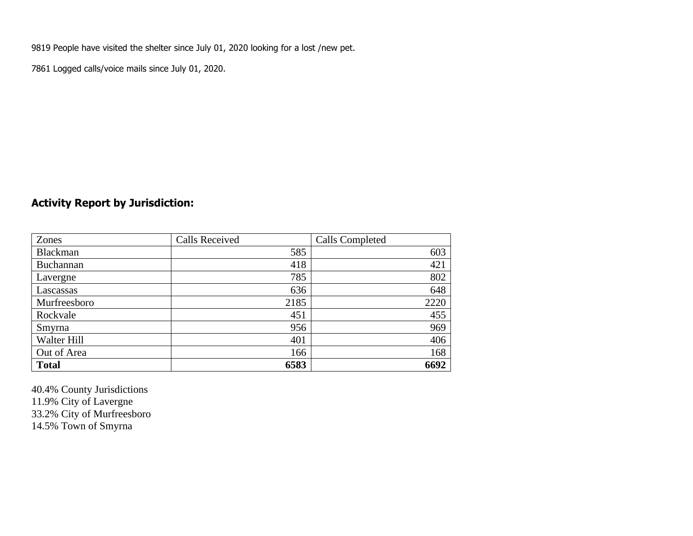9819 People have visited the shelter since July 01, 2020 looking for a lost /new pet.

7861 Logged calls/voice mails since July 01, 2020.

### **Activity Report by Jurisdiction:**

| Zones           | <b>Calls Received</b> | Calls Completed |
|-----------------|-----------------------|-----------------|
| <b>Blackman</b> | 585                   | 603             |
| Buchannan       | 418                   | 421             |
| Lavergne        | 785                   | 802             |
| Lascassas       | 636                   | 648             |
| Murfreesboro    | 2185                  | 2220            |
| Rockvale        | 451                   | 455             |
| Smyrna          | 956                   | 969             |
| Walter Hill     | 401                   | 406             |
| Out of Area     | 166                   | 168             |
| <b>Total</b>    | 6583                  | 6692            |

40.4% County Jurisdictions 11.9% City of Lavergne 33.2% City of Murfreesboro 14.5% Town of Smyrna